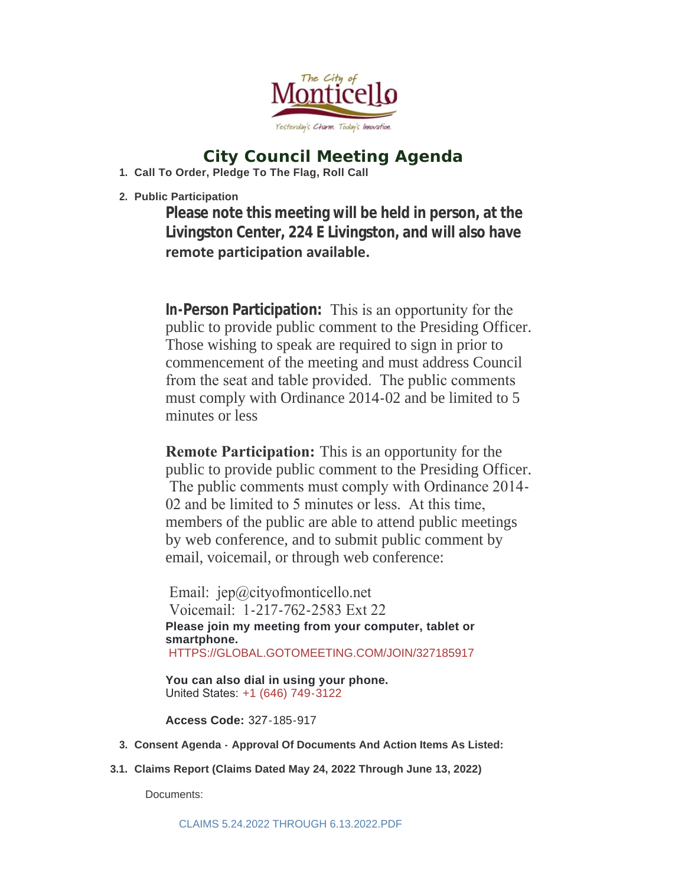

# **City Council Meeting Agenda**

**Call To Order, Pledge To The Flag, Roll Call 1.**

**Public Participation 2.**

**Please note this meeting will be held in person, at the Livingston Center, 224 E Livingston, and will also have remote participation available.** 

**In-Person Participation:** This is an opportunity for the public to provide public comment to the Presiding Officer. Those wishing to speak are required to sign in prior to commencement of the meeting and must address Council from the seat and table provided. The public comments must comply with Ordinance 2014-02 and be limited to 5 minutes or less

**Remote Participation:** This is an opportunity for the public to provide public comment to the Presiding Officer. The public comments must comply with Ordinance 2014- 02 and be limited to 5 minutes or less. At this time, members of the public are able to attend public meetings by web conference, and to submit public comment by email, voicemail, or through web conference:

Email: jep@cityofmonticello.net Voicemail: 1-217-762-2583 Ext 22 **Please join my meeting from your computer, tablet or smartphone.** [HTTPS://GLOBAL.GOTOMEETING.COM/JOIN/327185917](https://global.gotomeeting.com/join/327185917)

**You can also dial in using your phone.** United States: [+1 \(646\) 749-3122](tel:+16467493122,,327185917)

**Access Code:** 327-185-917

- **Consent Agenda - Approval Of Documents And Action Items As Listed: 3.**
- **Claims Report (Claims Dated May 24, 2022 Through June 13, 2022) 3.1.**

Documents: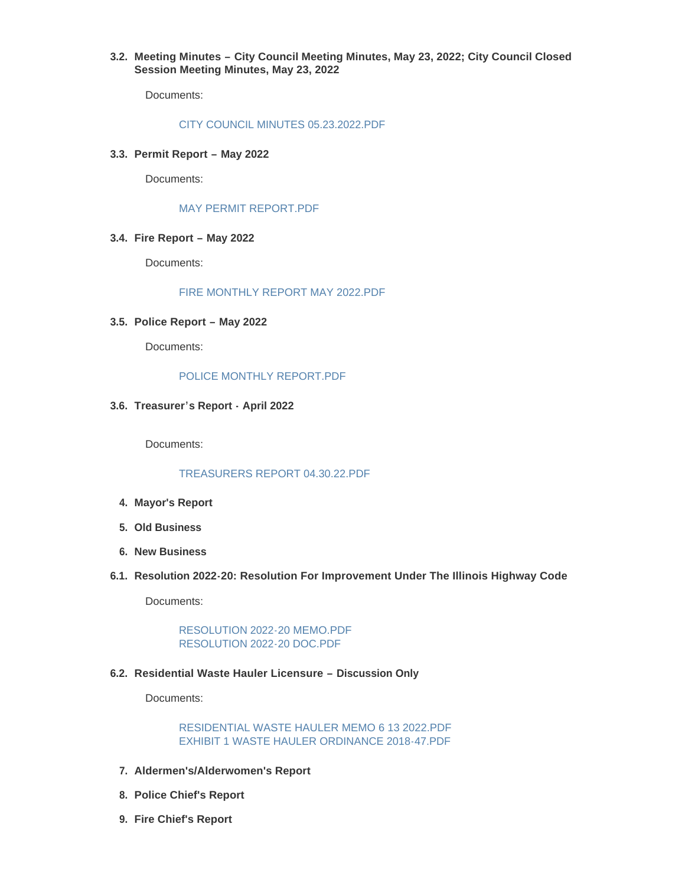**Meeting Minutes – City Council Meeting Minutes, May 23, 2022; City Council Closed 3.2. Session Meeting Minutes, May 23, 2022** 

Documents:

#### [CITY COUNCIL MINUTES 05.23.2022.PDF](https://www.cityofmonticello.net/AgendaCenter/ViewFile/Item/6180?fileID=3903)

**Permit Report – May 2022 3.3.**

Documents:

### [MAY PERMIT REPORT.PDF](https://www.cityofmonticello.net/AgendaCenter/ViewFile/Item/6181?fileID=3904)

## **Fire Report – May 2022 3.4.**

Documents:

### [FIRE MONTHLY REPORT MAY 2022.PDF](https://www.cityofmonticello.net/AgendaCenter/ViewFile/Item/6182?fileID=3905)

**Police Report – May 2022 3.5.**

Documents:

## [POLICE MONTHLY REPORT.PDF](https://www.cityofmonticello.net/AgendaCenter/ViewFile/Item/6183?fileID=3906)

**Treasurer's Report - April 2022 3.6.**

Documents:

# [TREASURERS REPORT 04.30.22.PDF](https://www.cityofmonticello.net/AgendaCenter/ViewFile/Item/6184?fileID=3907)

- **Mayor's Report 4.**
- **Old Business 5.**
- **New Business 6.**
- **Resolution 2022-20: Resolution For Improvement Under The Illinois Highway Code 6.1.**

Documents:

[RESOLUTION 2022-20 MEMO.PDF](https://www.cityofmonticello.net/AgendaCenter/ViewFile/Item/6185?fileID=3912) [RESOLUTION 2022-20 DOC.PDF](https://www.cityofmonticello.net/AgendaCenter/ViewFile/Item/6185?fileID=3913)

#### **Residential Waste Hauler Licensure – Discussion Only 6.2.**

Documents:

[RESIDENTIAL WASTE HAULER MEMO 6 13 2022.PDF](https://www.cityofmonticello.net/AgendaCenter/ViewFile/Item/6186?fileID=3910) [EXHIBIT 1 WASTE HAULER ORDINANCE 2018-47.PDF](https://www.cityofmonticello.net/AgendaCenter/ViewFile/Item/6186?fileID=3911)

- **Aldermen's/Alderwomen's Report 7.**
- **Police Chief's Report 8.**
- **Fire Chief's Report 9.**